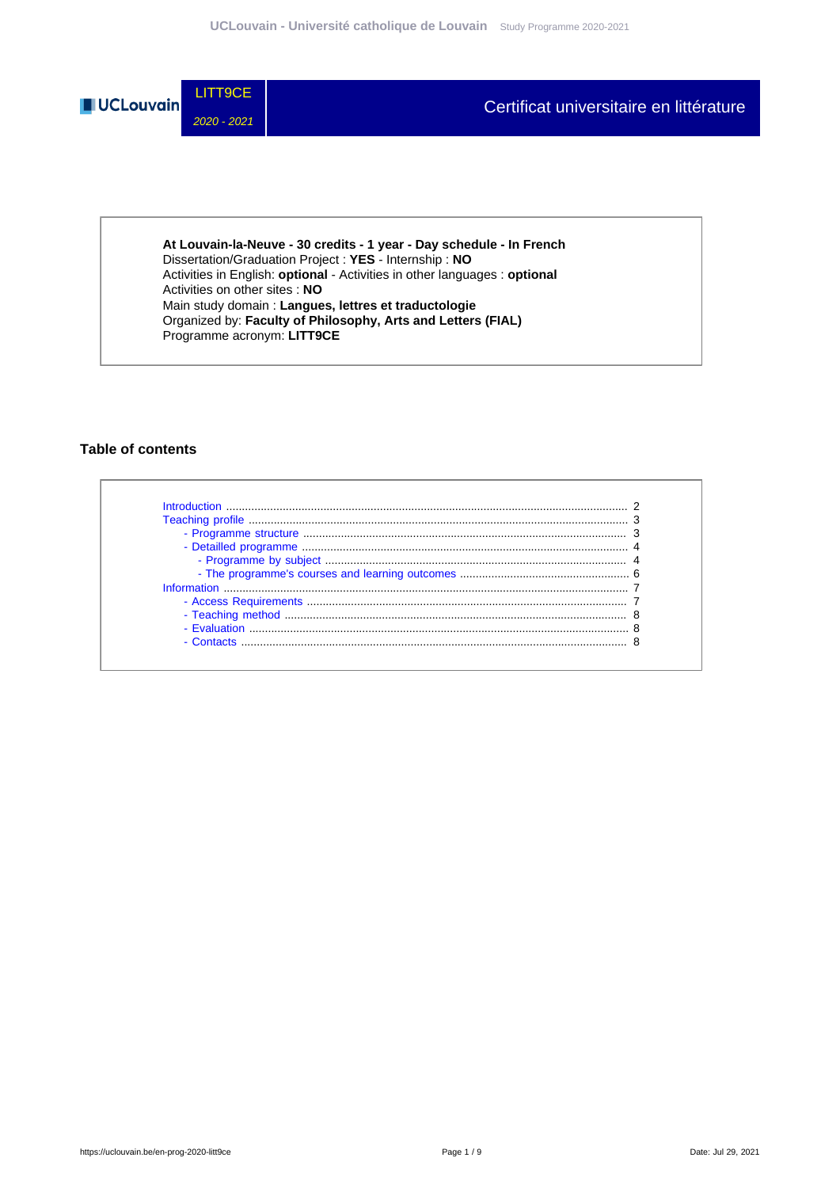

**At Louvain-la-Neuve - 30 credits - 1 year - Day schedule - In French** Dissertation/Graduation Project : **YES** - Internship : **NO** Activities in English: **optional** - Activities in other languages : **optional** Activities on other sites : **NO** Main study domain : **Langues, lettres et traductologie** Organized by: **Faculty of Philosophy, Arts and Letters (FIAL)** Programme acronym: **LITT9CE**

### **Table of contents**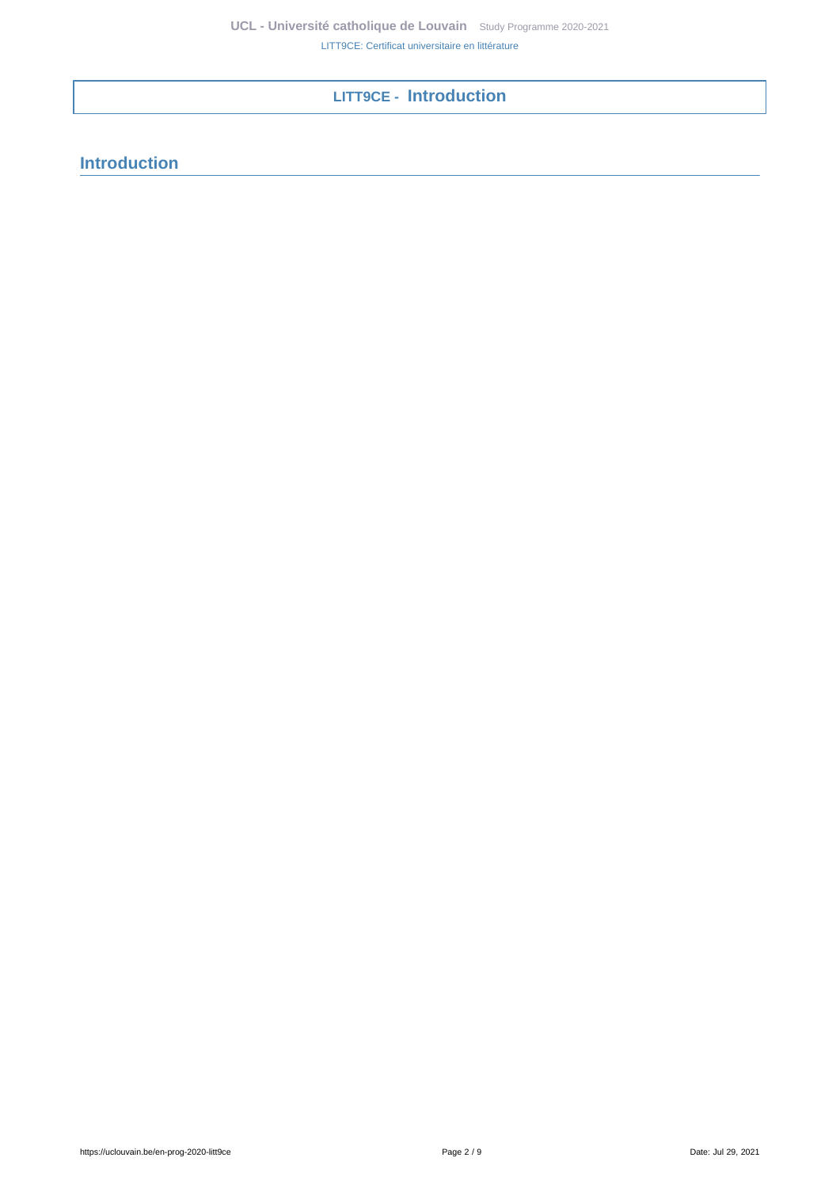# <span id="page-1-0"></span>**LITT9CE - Introduction**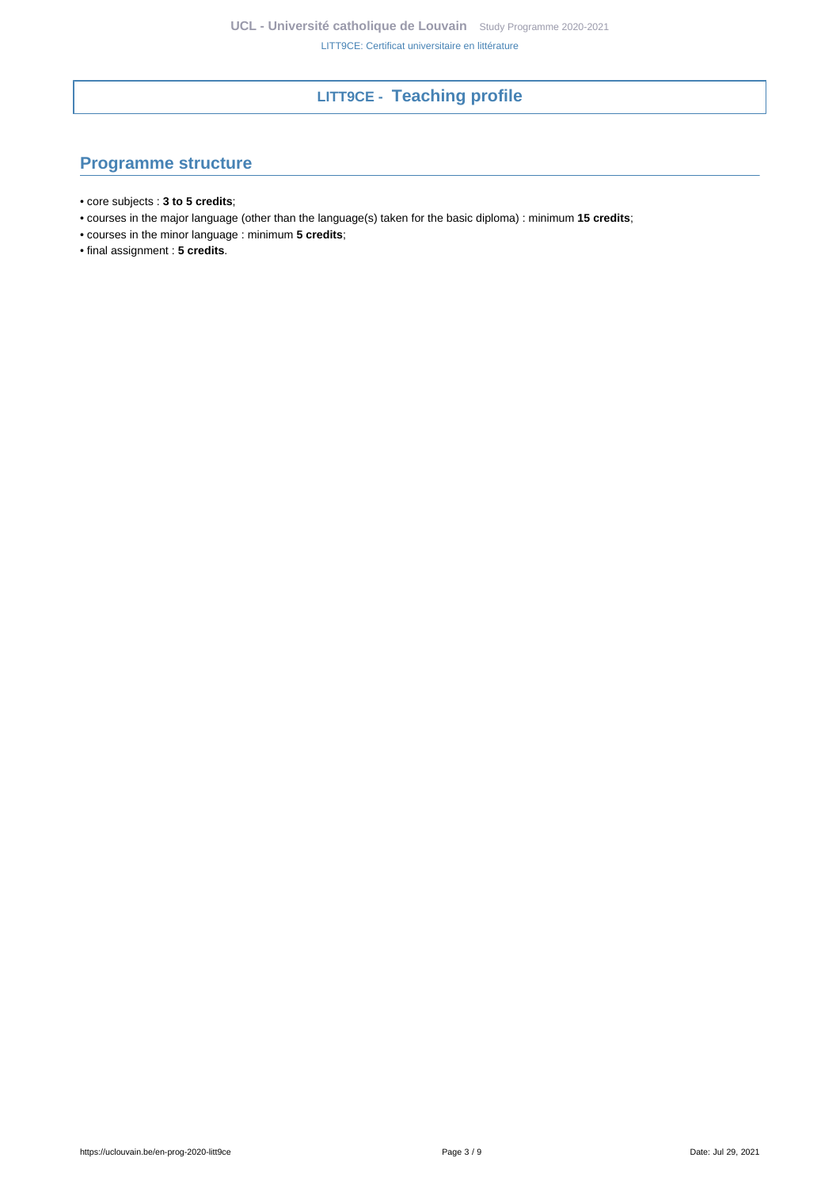# **LITT9CE - Teaching profile**

# <span id="page-2-1"></span><span id="page-2-0"></span>**Programme structure**

- core subjects : **3 to 5 credits**;
- courses in the major language (other than the language(s) taken for the basic diploma) : minimum **15 credits**;
- courses in the minor language : minimum **5 credits**;
- final assignment : **5 credits**.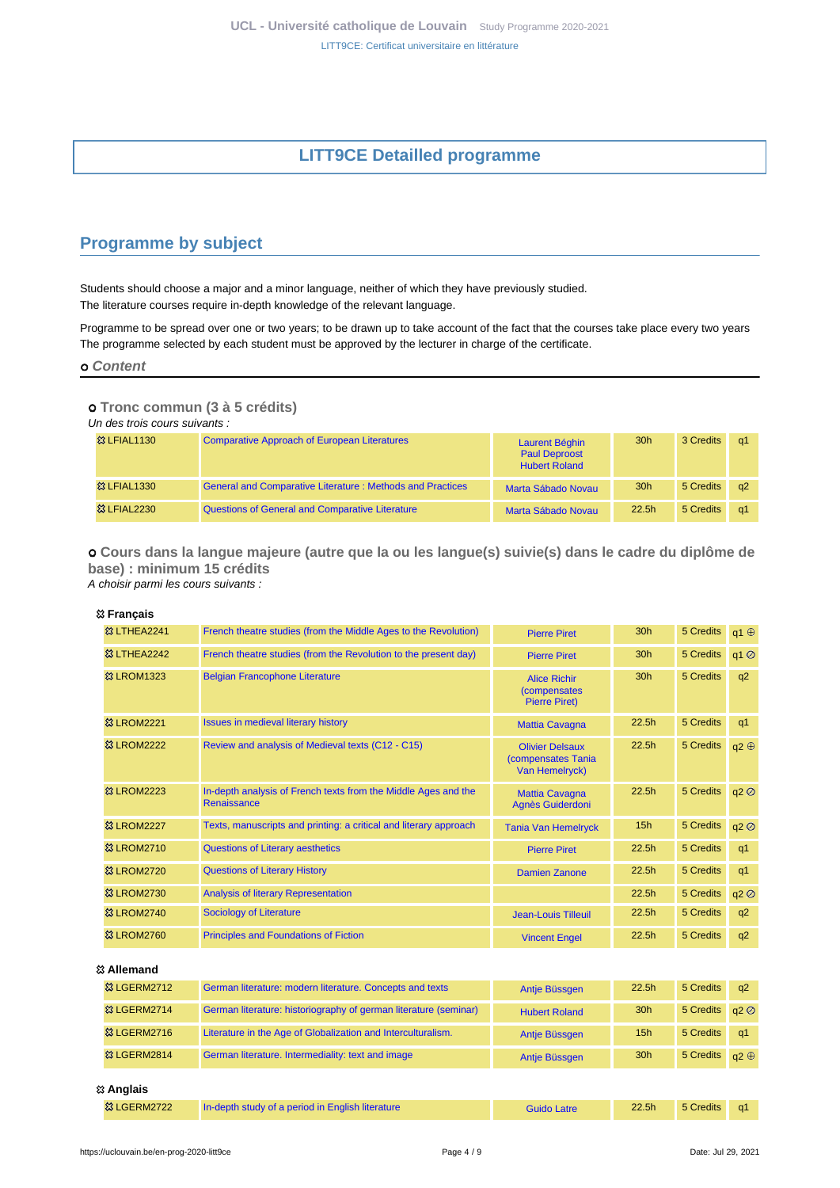# **LITT9CE Detailled programme**

## <span id="page-3-1"></span><span id="page-3-0"></span>**Programme by subject**

Students should choose a major and a minor language, neither of which they have previously studied. The literature courses require in-depth knowledge of the relevant language.

Programme to be spread over one or two years; to be drawn up to take account of the fact that the courses take place every two years The programme selected by each student must be approved by the lecturer in charge of the certificate.

 **Content**

#### **Tronc commun (3 à 5 crédits)**

Un des trois cours suivants :

| <b>&amp; LFIAL1130</b>  | <b>Comparative Approach of European Literatures</b>              | Laurent Béghin<br><b>Paul Deproost</b><br><b>Hubert Roland</b> | 30 <sub>h</sub>   | 3 Credits | -a1        |
|-------------------------|------------------------------------------------------------------|----------------------------------------------------------------|-------------------|-----------|------------|
| <b>&amp; LFIAL1330</b>  | <b>General and Comparative Literature: Methods and Practices</b> | Marta Sábado Novau                                             | 30 <sub>h</sub>   | 5 Credits | $\alpha$   |
| <b>&amp;3 LFIAL2230</b> | Questions of General and Comparative Literature                  | Marta Sábado Novau                                             | 22.5 <sub>h</sub> | 5 Credits | $\alpha$ 1 |

 **Cours dans la langue majeure (autre que la ou les langue(s) suivie(s) dans le cadre du diplôme de base) : minimum 15 crédits** A choisir parmi les cours suivants :

#### **Français**

| <sup>3</sup> LTHEA2241  | French theatre studies (from the Middle Ages to the Revolution)               | <b>Pierre Piret</b>                                                 | 30 <sub>h</sub>   | 5 Credits | q1 $\oplus$ |
|-------------------------|-------------------------------------------------------------------------------|---------------------------------------------------------------------|-------------------|-----------|-------------|
| <b>83 LTHEA2242</b>     | French theatre studies (from the Revolution to the present day)               | <b>Pierre Piret</b>                                                 | 30h               | 5 Credits | q1 Ø        |
| <b>&amp;3 LROM1323</b>  | <b>Belgian Francophone Literature</b>                                         | <b>Alice Richir</b><br><i>(compensates)</i><br><b>Pierre Piret)</b> | 30h               | 5 Credits | q2          |
| <b>&amp;3 LROM2221</b>  | <b>Issues in medieval literary history</b>                                    | <b>Mattia Cavagna</b>                                               | 22.5h             | 5 Credits | q1          |
| <b>&amp;3 LROM2222</b>  | Review and analysis of Medieval texts (C12 - C15)                             | <b>Olivier Delsaux</b><br>(compensates Tania<br>Van Hemelryck)      | 22.5h             | 5 Credits | q2 $\oplus$ |
| <b>&amp; LROM2223</b>   | In-depth analysis of French texts from the Middle Ages and the<br>Renaissance | <b>Mattia Cavagna</b><br>Agnès Guiderdoni                           | 22.5h             | 5 Credits | q2          |
| <b>&amp; LROM2227</b>   | Texts, manuscripts and printing: a critical and literary approach             | <b>Tania Van Hemelryck</b>                                          | 15h               | 5 Credits | q2 Ø        |
| <b>&amp; LROM2710</b>   | <b>Questions of Literary aesthetics</b>                                       | <b>Pierre Piret</b>                                                 | 22.5h             | 5 Credits | q1          |
| <b>&amp;3 LROM2720</b>  | <b>Questions of Literary History</b>                                          | <b>Damien Zanone</b>                                                | 22.5h             | 5 Credits | q1          |
| <sup>33</sup> LROM2730  | <b>Analysis of literary Representation</b>                                    |                                                                     | 22.5h             | 5 Credits | q2 Ø        |
| <b>&amp; LROM2740</b>   | <b>Sociology of Literature</b>                                                | <b>Jean-Louis Tilleuil</b>                                          | 22.5h             | 5 Credits | q2          |
| <b>&amp;3 LROM2760</b>  | <b>Principles and Foundations of Fiction</b>                                  | <b>Vincent Engel</b>                                                | 22.5h             | 5 Credits | q2          |
| 惢 Allemand              |                                                                               |                                                                     |                   |           |             |
| <sup>33</sup> LGERM2712 | German literature: modern literature. Concepts and texts                      | Antie Büssgen                                                       | 22.5 <sub>h</sub> | 5 Credits | q2          |
| <b>&amp; LGERM2714</b>  | German literature: historiography of german literature (seminar)              | <b>Hubert Roland</b>                                                | 30 <sub>h</sub>   | 5 Credits | q2          |

# <sup>23</sup> LGERM2814 [German literature. Intermediality: text and image](https://uclouvain.be/cours-2020-LGERM2814) [Antje Büssgen](https://uclouvain.be/repertoires/antje.buessgen) 30h 5 Credits q2 ⊕  **Anglais**

| <b>&amp; LGERM2722</b> | In-depth study of a period in English literature | <b>Guido Latre</b> | 22.5 <sub>h</sub> | 5 Credits a1 |  |
|------------------------|--------------------------------------------------|--------------------|-------------------|--------------|--|
|------------------------|--------------------------------------------------|--------------------|-------------------|--------------|--|

**23 LGERM2716** [Literature in the Age of Globalization and Interculturalism.](https://uclouvain.be/cours-2020-LGERM2716) Antie Büssgen 15h 5 Credits q1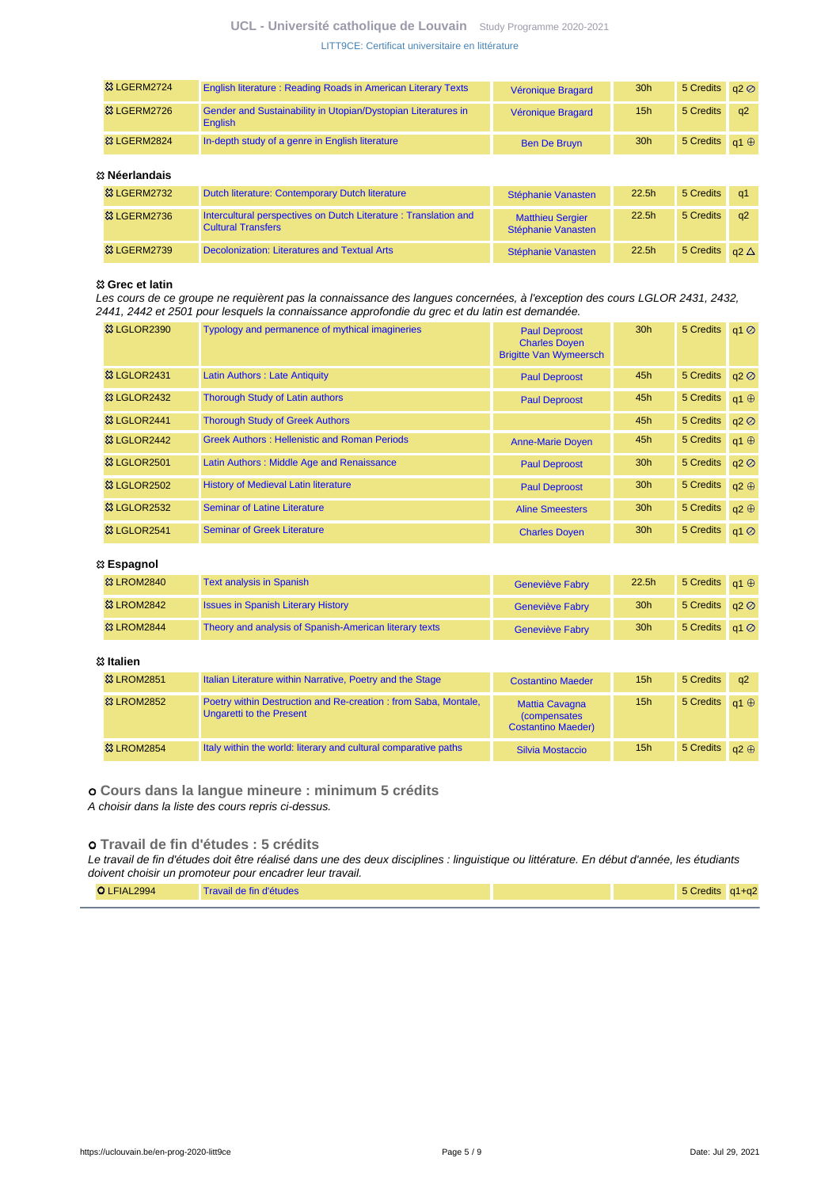### **UCL - Université catholique de Louvain** [Study Programme 2020-2021](https://uclouvain.be/en/study-programme) [LITT9CE: Certificat universitaire en littérature](https://uclouvain.be/en-prog-2020-litt9ce.html)

| <sup>33</sup> LGERM2724 | <b>English literature: Reading Roads in American Literary Texts</b>      | Véronique Bragard   | 30 <sub>h</sub> | 5 Credits $q2@$        |          |
|-------------------------|--------------------------------------------------------------------------|---------------------|-----------------|------------------------|----------|
| <sup>33</sup> LGERM2726 | Gender and Sustainability in Utopian/Dystopian Literatures in<br>English | Véronique Bragard   | 15 <sub>h</sub> | 5 Credits              | $\alpha$ |
| <b>83 LGERM2824</b>     | In-depth study of a genre in English literature                          | <b>Ben De Bruyn</b> | 30 <sub>h</sub> | 5 Credits $q_1 \oplus$ |          |

#### **Néerlandais**

| w www.com               |                                                                                              |                                               |                   |                          |          |
|-------------------------|----------------------------------------------------------------------------------------------|-----------------------------------------------|-------------------|--------------------------|----------|
| <b>&amp; LGERM2732</b>  | Dutch literature: Contemporary Dutch literature                                              | Stéphanie Vanasten                            | 22.5 <sub>h</sub> | 5 Credits a1             |          |
| 83 LGERM2736            | Intercultural perspectives on Dutch Literature: Translation and<br><b>Cultural Transfers</b> | <b>Matthieu Sergier</b><br>Stéphanie Vanasten | 22.5 <sub>h</sub> | 5 Credits                | $\alpha$ |
| <sup>33</sup> LGERM2739 | <b>Decolonization: Literatures and Textual Arts</b>                                          | Stéphanie Vanasten                            | 22.5 <sub>h</sub> | 5 Credits $a2 \triangle$ |          |

#### **Grec et latin**

Les cours de ce groupe ne requièrent pas la connaissance des langues concernées, à l'exception des cours LGLOR 2431, 2432, 2441, 2442 et 2501 pour lesquels la connaissance approfondie du grec et du latin est demandée.

| <b>&amp; LGLOR2390</b>               | Typology and permanence of mythical imagineries     | <b>Paul Deproost</b><br><b>Charles Doyen</b><br><b>Brigitte Van Wymeersch</b> | 30 <sub>h</sub> | 5 Credits      | $q1$ <sup><math>\odot</math></sup> |
|--------------------------------------|-----------------------------------------------------|-------------------------------------------------------------------------------|-----------------|----------------|------------------------------------|
| <b>&amp;3 LGLOR2431</b>              | Latin Authors: Late Antiquity                       | <b>Paul Deproost</b>                                                          | 45h             | 5 Credits q2 2 |                                    |
| <b>&amp;3 LGLOR2432</b>              | <b>Thorough Study of Latin authors</b>              | <b>Paul Deproost</b>                                                          | 45h             | 5 Credits      | $a1 \oplus$                        |
| 83 LGLOR2441                         | <b>Thorough Study of Greek Authors</b>              |                                                                               | 45h             | 5 Credits      | q2                                 |
| <sup>3</sup> & LGLOR <sub>2442</sub> | <b>Greek Authors: Hellenistic and Roman Periods</b> | <b>Anne-Marie Doyen</b>                                                       | 45h             | 5 Credits      | $a1 \oplus$                        |
| <b>&amp;3 LGLOR2501</b>              | Latin Authors: Middle Age and Renaissance           | <b>Paul Deproost</b>                                                          | 30 <sub>h</sub> | 5 Credits      | a2                                 |
| <b>83 LGLOR2502</b>                  | <b>History of Medieval Latin literature</b>         | <b>Paul Deproost</b>                                                          | 30 <sub>h</sub> | 5 Credits      | $a2 \oplus$                        |
| <b>&amp; LGLOR2532</b>               | <b>Seminar of Latine Literature</b>                 | <b>Aline Smeesters</b>                                                        | 30 <sub>h</sub> | 5 Credits      | $q2 \oplus$                        |
| <b>&amp;3 LGLOR2541</b>              | <b>Seminar of Greek Literature</b>                  | <b>Charles Doyen</b>                                                          | 30 <sub>h</sub> | 5 Credits      | $q1$ <sup><math>\odot</math></sup> |

#### **Espagnol**

| <b>&amp; LROM2840</b>  | <b>Text analysis in Spanish</b>                        | <b>Geneviève Fabry</b> | 22.5 <sub>h</sub> | 5 Credits $q_1 \oplus$   |  |
|------------------------|--------------------------------------------------------|------------------------|-------------------|--------------------------|--|
| <b>&amp; LROM2842</b>  | <b>Issues in Spanish Literary History</b>              | <b>Geneviève Fabry</b> | 30 <sub>h</sub>   | 5 Credits $q2$ $\oslash$ |  |
| <b>&amp;3 LROM2844</b> | Theory and analysis of Spanish-American literary texts | <b>Geneviève Fabry</b> | 30 <sub>h</sub>   | 5 Credits $q1$ $\oslash$ |  |

#### **Italien**

| <b>&amp;3 LROM2851</b> | Italian Literature within Narrative, Poetry and the Stage                                  | <b>Costantino Maeder</b>                                                   | 15 <sub>h</sub> | 5 Credits              | $\alpha$    |
|------------------------|--------------------------------------------------------------------------------------------|----------------------------------------------------------------------------|-----------------|------------------------|-------------|
| <b>&amp; LROM2852</b>  | Poetry within Destruction and Re-creation: from Saba, Montale,<br>Ungaretti to the Present | <b>Mattia Cavagna</b><br><i>(compensates)</i><br><b>Costantino Maeder)</b> | 15 <sub>h</sub> | 5 Credits $q_1 \oplus$ |             |
| <b>&amp;3 LROM2854</b> | Italy within the world: literary and cultural comparative paths                            | Silvia Mostaccio                                                           | 15 <sub>h</sub> | 5 Credits              | $a2 \oplus$ |

 **Cours dans la langue mineure : minimum 5 crédits** A choisir dans la liste des cours repris ci-dessus.

### **Travail de fin d'études : 5 crédits**

Le travail de fin d'études doit être réalisé dans une des deux disciplines : linguistique ou littérature. En début d'année, les étudiants doivent choisir un promoteur pour encadrer leur travail.

| 5 Credits q1+q2<br>O LFIAL2994<br>Travail de fin d'études |
|-----------------------------------------------------------|
|-----------------------------------------------------------|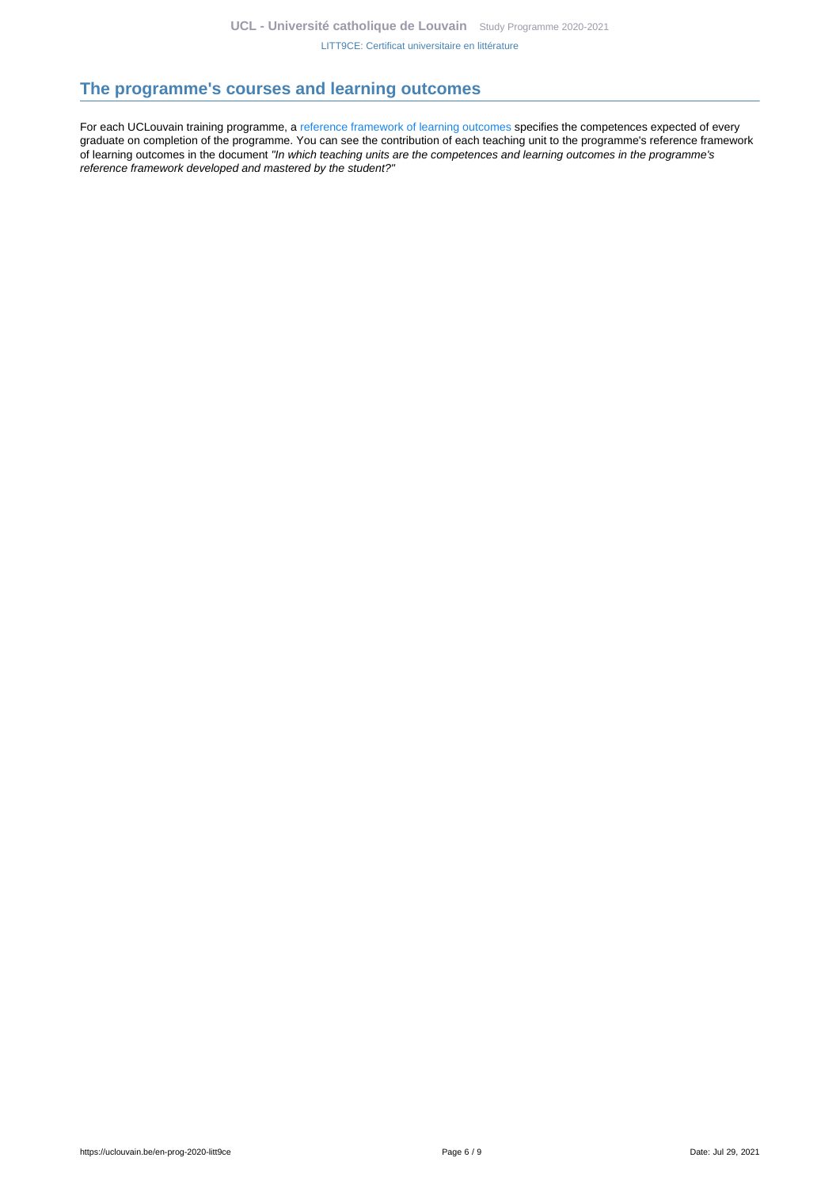### <span id="page-5-0"></span>**The programme's courses and learning outcomes**

For each UCLouvain training programme, a [reference framework of learning outcomes](https://uclouvain.be/en-prog-2020-litt9ce-competences_et_acquis.html) specifies the competences expected of every graduate on completion of the programme. You can see the contribution of each teaching unit to the programme's reference framework of learning outcomes in the document "In which teaching units are the competences and learning outcomes in the programme's reference framework developed and mastered by the student?"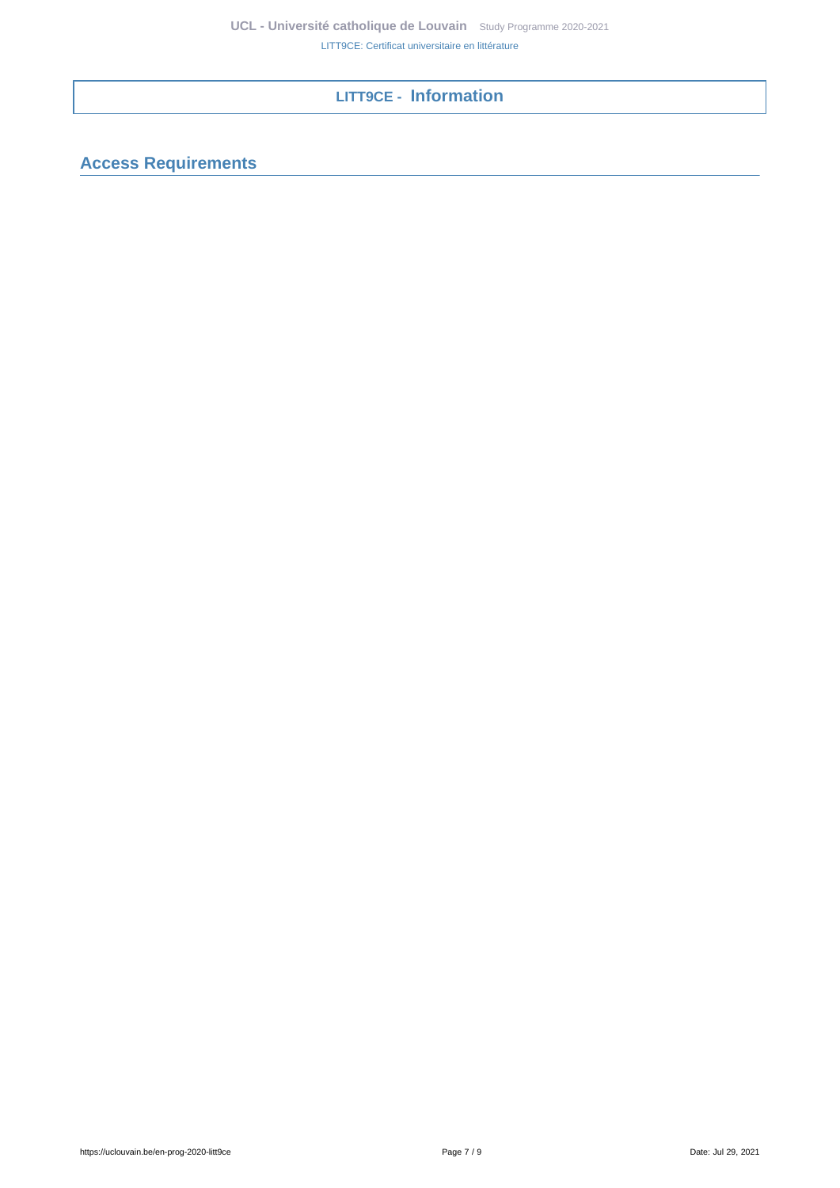# **LITT9CE - Information**

# <span id="page-6-1"></span><span id="page-6-0"></span>**Access Requirements**